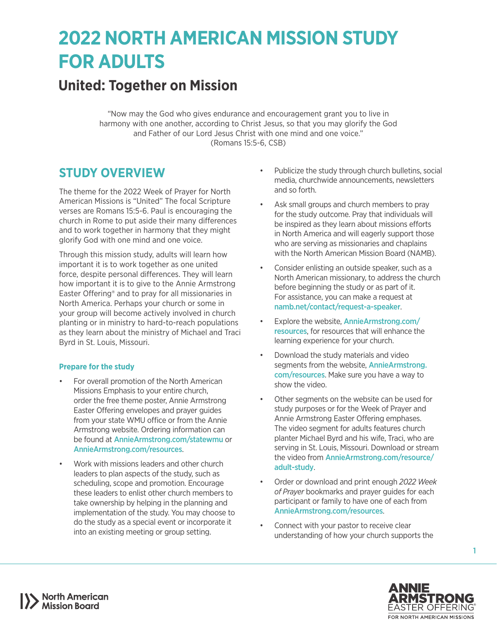# **2022 NORTH AMERICAN MISSION STUDY FOR ADULTS**

# **United: Together on Mission**

"Now may the God who gives endurance and encouragement grant you to live in harmony with one another, according to Christ Jesus, so that you may glorify the God and Father of our Lord Jesus Christ with one mind and one voice." (Romans 15:5-6, CSB)

## **STUDY OVERVIEW**

The theme for the 2022 Week of Prayer for North American Missions is "United" The focal Scripture verses are Romans 15:5-6. Paul is encouraging the church in Rome to put aside their many differences and to work together in harmony that they might glorify God with one mind and one voice.

Through this mission study, adults will learn how important it is to work together as one united force, despite personal differences. They will learn how important it is to give to the Annie Armstrong Easter Offering® and to pray for all missionaries in North America. Perhaps your church or some in your group will become actively involved in church planting or in ministry to hard-to-reach populations as they learn about the ministry of Michael and Traci Byrd in St. Louis, Missouri.

### **Prepare for the study**

- For overall promotion of the North American Missions Emphasis to your entire church, order the free theme poster, Annie Armstrong Easter Offering envelopes and prayer guides from your state WMU office or from the Annie Armstrong website. Ordering information can be found at [AnnieArmstrong.com/statewmu](http://AnnieArmstrong.com/statewmu) or [AnnieArmstrong.com/resources](http://AnnieArmstrong.com/resources).
- Work with missions leaders and other church leaders to plan aspects of the study, such as scheduling, scope and promotion. Encourage these leaders to enlist other church members to take ownership by helping in the planning and implementation of the study. You may choose to do the study as a special event or incorporate it into an existing meeting or group setting.
- Publicize the study through church bulletins, social media, churchwide announcements, newsletters and so forth.
- Ask small groups and church members to pray for the study outcome. Pray that individuals will be inspired as they learn about missions efforts in North America and will eagerly support those who are serving as missionaries and chaplains with the North American Mission Board (NAMB).
- Consider enlisting an outside speaker, such as a North American missionary, to address the church before beginning the study or as part of it. For assistance, you can make a request at [namb.net/contact/request-a-speaker](https://www.namb.net/contact/request-a-speaker/).
- Explore the website. [AnnieArmstrong.com/](http://anniearmstrong.com/resources) [resources](http://anniearmstrong.com/resources), for resources that will enhance the learning experience for your church.
- Download the study materials and video segments from the website, **[AnnieArmstrong.](http://anniearmstrong.com/resources)** [com/resources](http://anniearmstrong.com/resources). Make sure you have a way to show the video.
- Other segments on the website can be used for study purposes or for the Week of Prayer and Annie Armstrong Easter Offering emphases. The video segment for adults features church planter Michael Byrd and his wife, Traci, who are serving in St. Louis, Missouri. Download or stream the video from [AnnieArmstrong.com/resource/](http://AnnieArmstrong.com/resource/adult-study) [adult-study](http://AnnieArmstrong.com/resource/adult-study).
- Order or download and print enough *2022 Week of Prayer* bookmarks and prayer guides for each participant or family to have one of each from [AnnieArmstrong.com/resources](http://AnnieArmstrong.com/resources).
- Connect with your pastor to receive clear understanding of how your church supports the



1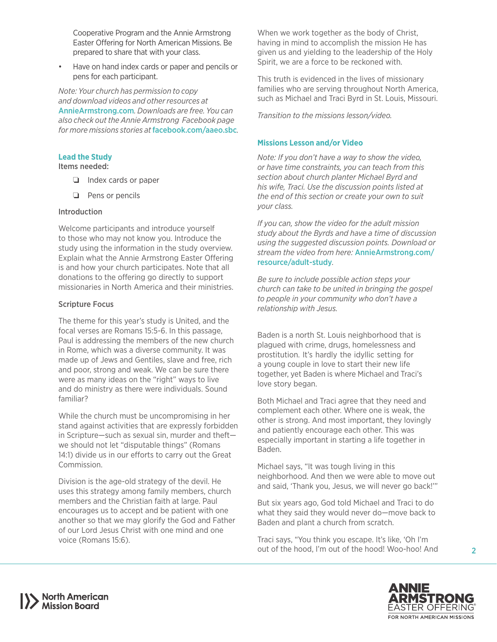Cooperative Program and the Annie Armstrong Easter Offering for North American Missions. Be prepared to share that with your class.

• Have on hand index cards or paper and pencils or pens for each participant.

*Note: Your church has permission to copy and download videos and other resources at*  [AnnieArmstrong.com](http://AnnieArmstrong.com)*. Downloads are free. You can also check out the Annie Armstrong Facebook page for more missions stories at* [facebook.com/aaeo.sbc](http://facebook.com/aaeo.sbc)*.*

#### **Lead the Study**

Items needed:

- ❏ Index cards or paper
- ❏ Pens or pencils

#### Introduction

Welcome participants and introduce yourself to those who may not know you. Introduce the study using the information in the study overview. Explain what the Annie Armstrong Easter Offering is and how your church participates. Note that all donations to the offering go directly to support missionaries in North America and their ministries.

#### Scripture Focus

The theme for this year's study is United, and the focal verses are Romans 15:5-6. In this passage, Paul is addressing the members of the new church in Rome, which was a diverse community. It was made up of Jews and Gentiles, slave and free, rich and poor, strong and weak. We can be sure there were as many ideas on the "right" ways to live and do ministry as there were individuals. Sound familiar?

While the church must be uncompromising in her stand against activities that are expressly forbidden in Scripture—such as sexual sin, murder and theft we should not let "disputable things" (Romans 14:1) divide us in our efforts to carry out the Great Commission.

Division is the age-old strategy of the devil. He uses this strategy among family members, church members and the Christian faith at large. Paul encourages us to accept and be patient with one another so that we may glorify the God and Father of our Lord Jesus Christ with one mind and one voice (Romans 15:6).

When we work together as the body of Christ, having in mind to accomplish the mission He has given us and yielding to the leadership of the Holy Spirit, we are a force to be reckoned with.

This truth is evidenced in the lives of missionary families who are serving throughout North America, such as Michael and Traci Byrd in St. Louis, Missouri.

*Transition to the missions lesson/video.*

#### **Missions Lesson and/or Video**

*Note: If you don't have a way to show the video, or have time constraints, you can teach from this section about church planter Michael Byrd and his wife, Traci. Use the discussion points listed at the end of this section or create your own to suit your class.*

*If you can, show the video for the adult mission study about the Byrds and have a time of discussion using the suggested discussion points. Download or stream the video from here:* [AnnieArmstrong.com/](http://AnnieArmstrong.com/resource/adult-study) [resource/adult-study](http://AnnieArmstrong.com/resource/adult-study)*.* 

*Be sure to include possible action steps your church can take to be united in bringing the gospel to people in your community who don't have a relationship with Jesus.*

Baden is a north St. Louis neighborhood that is plagued with crime, drugs, homelessness and prostitution. It's hardly the idyllic setting for a young couple in love to start their new life together, yet Baden is where Michael and Traci's love story began.

Both Michael and Traci agree that they need and complement each other. Where one is weak, the other is strong. And most important, they lovingly and patiently encourage each other. This was especially important in starting a life together in Baden.

Michael says, "It was tough living in this neighborhood. And then we were able to move out and said, 'Thank you, Jesus, we will never go back!'"

But six years ago, God told Michael and Traci to do what they said they would never do—move back to Baden and plant a church from scratch.

Traci says, "You think you escape. It's like, 'Oh I'm out of the hood, I'm out of the hood! Woo-hoo! And



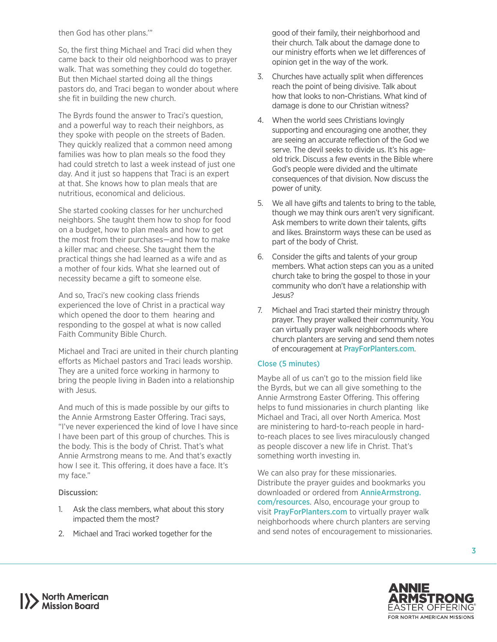then God has other plans.'"

So, the first thing Michael and Traci did when they came back to their old neighborhood was to prayer walk. That was something they could do together. But then Michael started doing all the things pastors do, and Traci began to wonder about where she fit in building the new church.

The Byrds found the answer to Traci's question, and a powerful way to reach their neighbors, as they spoke with people on the streets of Baden. They quickly realized that a common need among families was how to plan meals so the food they had could stretch to last a week instead of just one day. And it just so happens that Traci is an expert at that. She knows how to plan meals that are nutritious, economical and delicious.

She started cooking classes for her unchurched neighbors. She taught them how to shop for food on a budget, how to plan meals and how to get the most from their purchases—and how to make a killer mac and cheese. She taught them the practical things she had learned as a wife and as a mother of four kids. What she learned out of necessity became a gift to someone else.

And so, Traci's new cooking class friends experienced the love of Christ in a practical way which opened the door to them hearing and responding to the gospel at what is now called Faith Community Bible Church.

Michael and Traci are united in their church planting efforts as Michael pastors and Traci leads worship. They are a united force working in harmony to bring the people living in Baden into a relationship with Jesus.

And much of this is made possible by our gifts to the Annie Armstrong Easter Offering. Traci says, "I've never experienced the kind of love I have since I have been part of this group of churches. This is the body. This is the body of Christ. That's what Annie Armstrong means to me. And that's exactly how I see it. This offering, it does have a face. It's my face."

#### Discussion:

- 1. Ask the class members, what about this story impacted them the most?
- 2. Michael and Traci worked together for the

good of their family, their neighborhood and their church. Talk about the damage done to our ministry efforts when we let differences of opinion get in the way of the work.

- 3. Churches have actually split when differences reach the point of being divisive. Talk about how that looks to non-Christians. What kind of damage is done to our Christian witness?
- 4. When the world sees Christians lovingly supporting and encouraging one another, they are seeing an accurate reflection of the God we serve. The devil seeks to divide us. It's his ageold trick. Discuss a few events in the Bible where God's people were divided and the ultimate consequences of that division. Now discuss the power of unity.
- 5. We all have gifts and talents to bring to the table, though we may think ours aren't very significant. Ask members to write down their talents, gifts and likes. Brainstorm ways these can be used as part of the body of Christ.
- 6. Consider the gifts and talents of your group members. What action steps can you as a united church take to bring the gospel to those in your community who don't have a relationship with Jesus?
- 7. Michael and Traci started their ministry through prayer. They prayer walked their community. You can virtually prayer walk neighborhoods where church planters are serving and send them notes of encouragement at **[PrayForPlanters.com](http://PrayForPlanters.com).**

### Close (5 minutes)

Maybe all of us can't go to the mission field like the Byrds, but we can all give something to the Annie Armstrong Easter Offering. This offering helps to fund missionaries in church planting like Michael and Traci, all over North America. Most are ministering to hard-to-reach people in hardto-reach places to see lives miraculously changed as people discover a new life in Christ. That's something worth investing in.

We can also pray for these missionaries. Distribute the prayer guides and bookmarks you downloaded or ordered from **[AnnieArmstrong.](http://AnnieArmstrong.com/resources)** [com/resources](http://AnnieArmstrong.com/resources). Also, encourage your group to visit [PrayForPlanters.com](http://PrayForPlanters.com) to virtually prayer walk neighborhoods where church planters are serving and send notes of encouragement to missionaries.